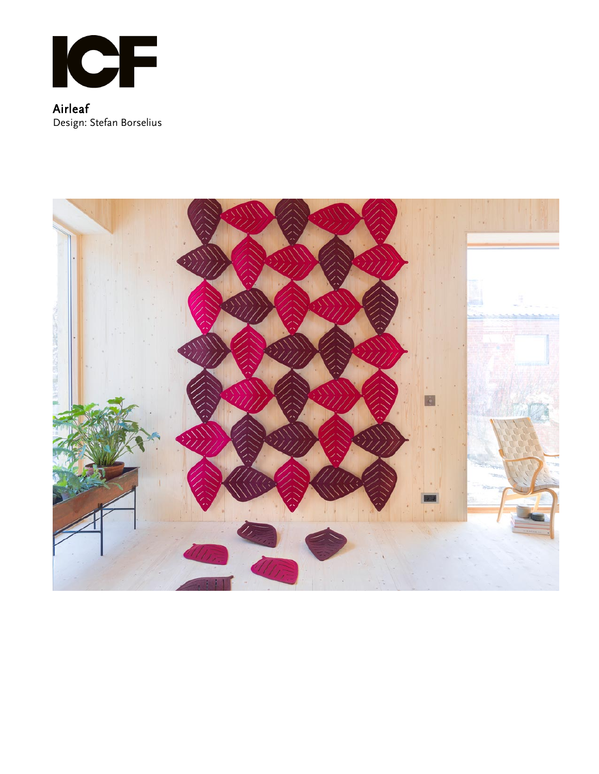

Airleaf Design: Stefan Borselius